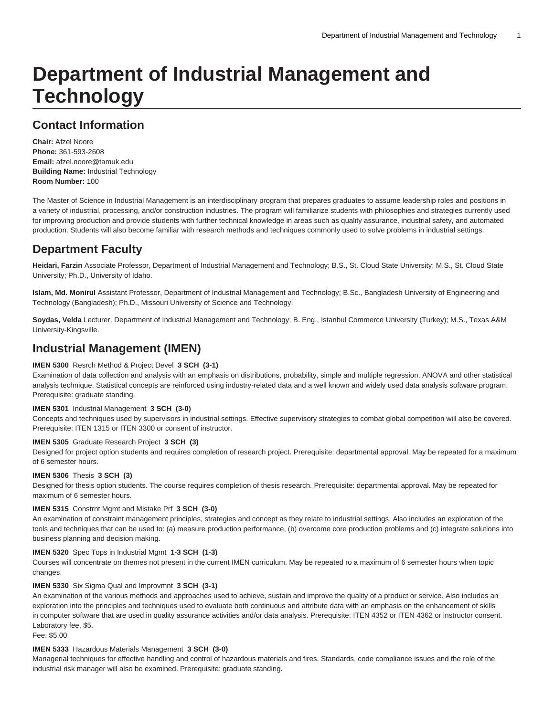# **Department of Industrial Management and Technology**

# **Contact Information**

**Chair:** Afzel Noore **Phone:** 361-593-2608 **Email:** [afzel.noore@tamuk.edu](mailto:afzel.noore@tamuk.edu) **Building Name:** Industrial Technology **Room Number:** 100

The Master of Science in Industrial Management is an interdisciplinary program that prepares graduates to assume leadership roles and positions in a variety of industrial, processing, and/or construction industries. The program will familiarize students with philosophies and strategies currently used for improving production and provide students with further technical knowledge in areas such as quality assurance, industrial safety, and automated production. Students will also become familiar with research methods and techniques commonly used to solve problems in industrial settings.

# **Department Faculty**

**Heidari, Farzin** Associate Professor, Department of Industrial Management and Technology; B.S., St. Cloud State University; M.S., St. Cloud State University; Ph.D., University of Idaho.

**Islam, Md. Monirul** Assistant Professor, Department of Industrial Management and Technology; B.Sc., Bangladesh University of Engineering and Technology (Bangladesh); Ph.D., Missouri University of Science and Technology.

**Soydas, Velda** Lecturer, Department of Industrial Management and Technology; B. Eng., Istanbul Commerce University (Turkey); M.S., Texas A&M University-Kingsville.

# **Industrial Management (IMEN)**

## **IMEN 5300** Resrch Method & Project Devel **3 SCH (3-1)**

Examination of data collection and analysis with an emphasis on distributions, probability, simple and multiple regression, ANOVA and other statistical analysis technique. Statistical concepts are reinforced using industry-related data and a well known and widely used data analysis software program. Prerequisite: graduate standing.

# **IMEN 5301** Industrial Management **3 SCH (3-0)**

Concepts and techniques used by supervisors in industrial settings. Effective supervisory strategies to combat global competition will also be covered. Prerequisite: ITEN 1315 or ITEN 3300 or consent of instructor.

## **IMEN 5305** Graduate Research Project **3 SCH (3)**

Designed for project option students and requires completion of research project. Prerequisite: departmental approval. May be repeated for a maximum of 6 semester hours.

## **IMEN 5306** Thesis **3 SCH (3)**

Designed for thesis option students. The course requires completion of thesis research. Prerequisite: departmental approval. May be repeated for maximum of 6 semester hours.

## **IMEN 5315** Constrnt Mgmt and Mistake Prf **3 SCH (3-0)**

An examination of constraint management principles, strategies and concept as they relate to industrial settings. Also includes an exploration of the tools and techniques that can be used to: (a) measure production performance, (b) overcome core production problems and (c) integrate solutions into business planning and decision making.

## **IMEN 5320** Spec Tops in Industrial Mgmt **1-3 SCH (1-3)**

Courses will concentrate on themes not present in the current IMEN curriculum. May be repeated ro a maximum of 6 semester hours when topic changes.

#### **IMEN 5330** Six Sigma Qual and Improvmnt **3 SCH (3-1)**

An examination of the various methods and approaches used to achieve, sustain and improve the quality of a product or service. Also includes an exploration into the principles and techniques used to evaluate both continuous and attribute data with an emphasis on the enhancement of skills in computer software that are used in quality assurance activities and/or data analysis. Prerequisite: ITEN 4352 or ITEN 4362 or instructor consent. Laboratory fee, \$5.

Fee: \$5.00

#### **IMEN 5333** Hazardous Materials Management **3 SCH (3-0)**

Managerial techniques for effective handling and control of hazardous materials and fires. Standards, code compliance issues and the role of the industrial risk manager will also be examined. Prerequisite: graduate standing.